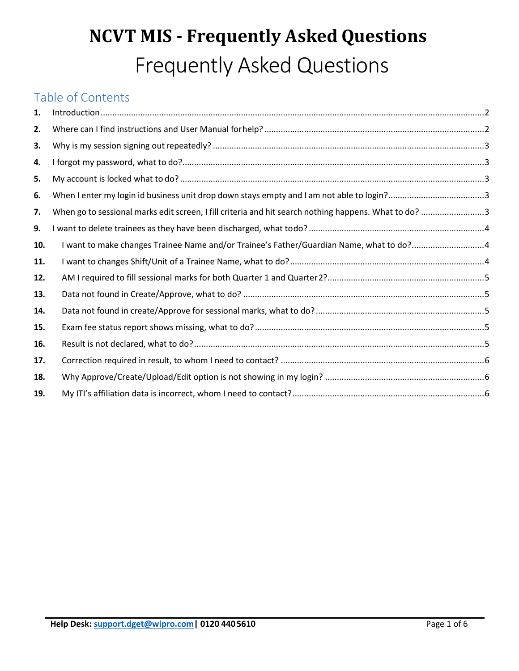# **NCVT MIS - Frequently Asked Questions** Frequently Asked Questions

## Table of Contents

| 1.  |                                                                                                       |  |
|-----|-------------------------------------------------------------------------------------------------------|--|
| 2.  |                                                                                                       |  |
| 3.  |                                                                                                       |  |
| 4.  |                                                                                                       |  |
| 5.  |                                                                                                       |  |
| 6.  |                                                                                                       |  |
| 7.  | When go to sessional marks edit screen, I fill criteria and hit search nothing happens. What to do? 3 |  |
| 9.  |                                                                                                       |  |
| 10. | I want to make changes Trainee Name and/or Trainee's Father/Guardian Name, what to do?4               |  |
| 11. |                                                                                                       |  |
| 12. |                                                                                                       |  |
| 13. |                                                                                                       |  |
| 14. |                                                                                                       |  |
| 15. |                                                                                                       |  |
| 16. |                                                                                                       |  |
| 17. |                                                                                                       |  |
| 18. |                                                                                                       |  |
| 19. |                                                                                                       |  |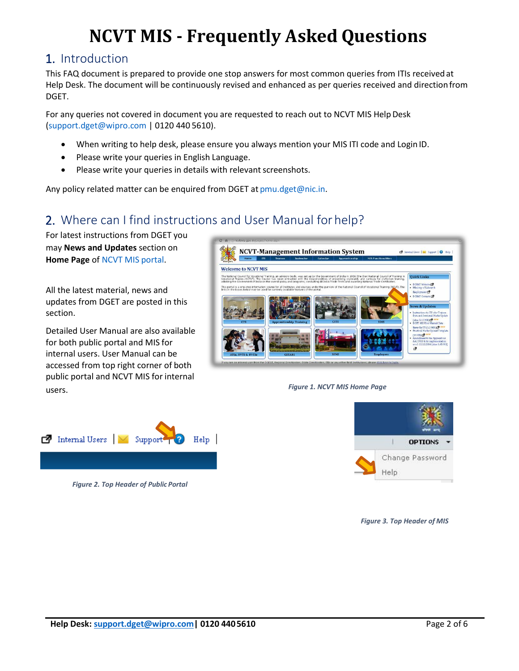## **NCVT MIS - Frequently Asked Questions**

#### <span id="page-1-0"></span>1. Introduction

This FAQ document is prepared to provide one stop answers for most common queries from ITIs receivedat Help Desk. The document will be continuously revised and enhanced as per queries received and directionfrom DGET.

For any queries not covered in document you are requested to reach out to NCVT MIS Help Desk [\(support.dget@wipro.com |](mailto:support.dget@wipro.com) 0120 440 5610).

- When writing to help desk, please ensure you always mention your MIS ITI code and LoginID.
- Please write your queries in English Language.
- Please write your queries in details with relevant screenshots.

Any policy related matter can be enquired from DGET at [pmu.dget@nic.in.](mailto:pmu.dget@nic.in)

## <span id="page-1-1"></span>2. Where can I find instructions and User Manual for help?

For latest instructions from DGET you may **News and Updates** section on **Home Page** of [NCVT MIS](http://ncvtmis.gov.in/) portal.

All the latest material, news and updates from DGET are posted in this section.

Detailed User Manual are also available for both public portal and MIS for internal users. User Manual can be accessed from top right corner of both public portal and NCVT MIS for internal users. *Figure 1. NCVT MIS Home Page*





*Figure 2. Top Header of Public Portal*



*Figure 3. Top Header of MIS*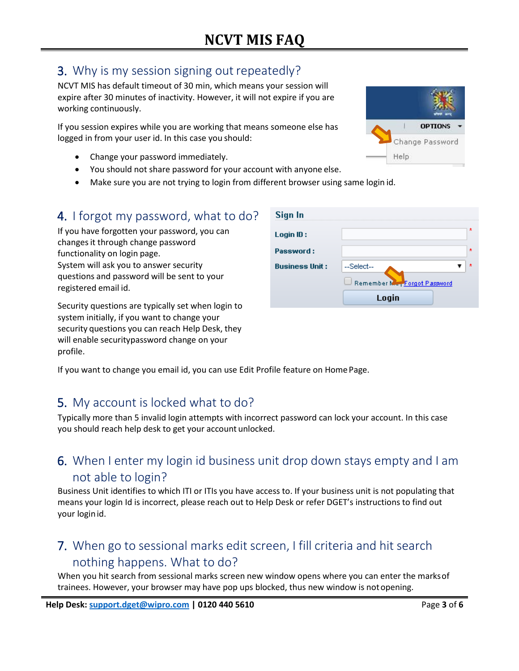## <span id="page-2-0"></span>3. Why is my session signing out repeatedly?

NCVT MIS has default timeout of 30 min, which means your session will expire after 30 minutes of inactivity. However, it will not expire if you are working continuously.

If you session expires while you are working that means someone else has logged in from your user id. In this case you should:

- Change your password immediately.
- You should not share password for your account with anyone else.
- Make sure you are not trying to login from different browser using same login id.

#### <span id="page-2-1"></span>4. I forgot my password, what to do?

If you have forgotten your password, you can changesit through change password functionality on login page. System will ask you to answer security questions and password will be sent to your registered email id.

Security questions are typically set when login to system initially, if you want to change your security questions you can reach Help Desk, they will enable securitypassword change on your profile.



Sign In

Login ID: Password:

**Business Unit:** 

-Select-

Remember M

Login

If you want to change you email id, you can use Edit Profile feature on Home Page.

## <span id="page-2-2"></span>5. My account is locked what to do?

Typically more than 5 invalid login attempts with incorrect password can lock your account. In this case you should reach help desk to get your account unlocked.

## <span id="page-2-3"></span>6. When I enter my login id business unit drop down stays empty and I am not able to login?

Business Unit identifies to which ITI or ITIs you have access to. If your business unit is not populating that means your login Id is incorrect, please reach out to Help Desk or refer DGET's instructions to find out your loginid.

## <span id="page-2-4"></span>7. When go to sessional marks edit screen, I fill criteria and hit search nothing happens. What to do?

When you hit search from sessional marks screen new window opens where you can enter the marksof trainees. However, your browser may have pop ups blocked, thus new window is notopening.



۰,

Forgot Password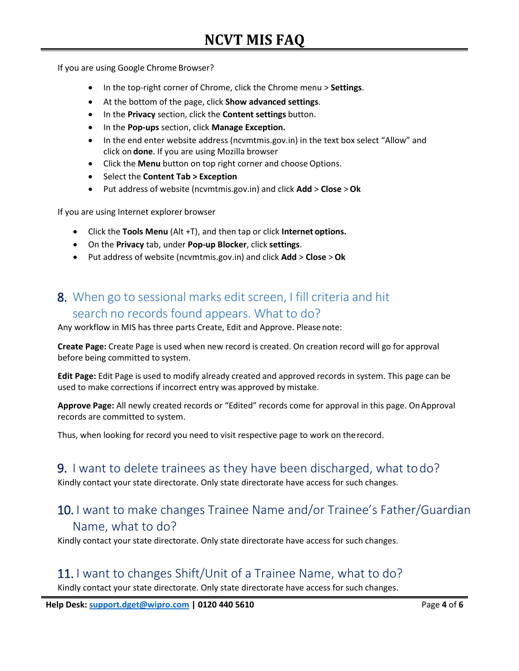If you are using Google Chrome Browser?

- In the top-right corner of Chrome, click the Chrome menu > **Settings**.
- At the bottom of the page, click **Show advanced settings**.
- In the **Privacy** section, click the **Content settings** button.
- In the **Pop-ups** section, click **Manage Exception.**
- In the end enter website address (ncvmtmis.gov.in) in the text box select "Allow" and click on **done**. If you are using Mozilla browser
- Click the **Menu** button on top right corner and choose Options.
- Select the **Content Tab > Exception**
- Put address of website (ncvmtmis.gov.in) and click **Add** > **Close** >**Ok**

If you are using Internet explorer browser

- Click the **Tools Menu** (Alt +T), and then tap or click **Internet options.**
- On the **Privacy** tab, under **Pop-up Blocker**, click **settings**.
- Put address of website (ncvmtmis.gov.in) and click **Add** > **Close** >**Ok**

## 8. When go to sessional marks edit screen, I fill criteria and hit search no records found appears. What to do?

Any workflow in MIS has three parts Create, Edit and Approve. Please note:

**Create Page:** Create Page is used when new record is created. On creation record will go for approval before being committed to system.

**Edit Page:** Edit Page is used to modify already created and approved records in system. This page can be used to make corrections if incorrect entry was approved by mistake.

Approve Page: All newly created records or "Edited" records come for approval in this page. On Approval records are committed to system.

Thus, when looking for record you need to visit respective page to work on therecord.

#### <span id="page-3-0"></span>9. I want to delete trainees as they have been discharged, what todo?

Kindly contact your state directorate. Only state directorate have access for such changes.

#### <span id="page-3-1"></span>10. I want to make changes Trainee Name and/or Trainee's Father/Guardian Name, what to do?

Kindly contact your state directorate. Only state directorate have access for such changes.

#### <span id="page-3-2"></span>11. I want to changes Shift/Unit of a Trainee Name, what to do?

Kindly contact your state directorate. Only state directorate have access for such changes.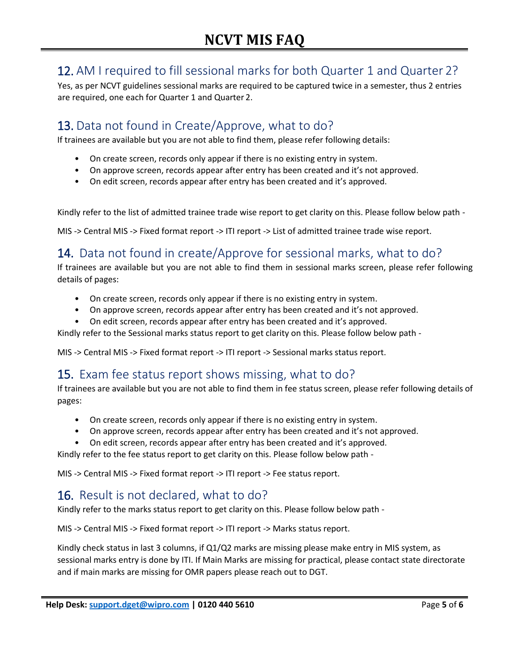## <span id="page-4-0"></span>12. AM I required to fill sessional marks for both Quarter 1 and Quarter 2?

Yes, as per NCVT guidelines sessional marks are required to be captured twice in a semester, thus 2 entries are required, one each for Quarter 1 and Quarter 2.

## <span id="page-4-1"></span>13. Data not found in Create/Approve, what to do?

If trainees are available but you are not able to find them, please refer following details:

- On create screen, records only appear if there is no existing entry in system.
- On approve screen, records appear after entry has been created and it's not approved.
- On edit screen, records appear after entry has been created and it's approved.

Kindly refer to the list of admitted trainee trade wise report to get clarity on this. Please follow below path -

MIS -> Central MIS -> Fixed format report -> ITI report -> List of admitted trainee trade wise report.

## <span id="page-4-2"></span>14. Data not found in create/Approve for sessional marks, what to do?

If trainees are available but you are not able to find them in sessional marks screen, please refer following details of pages:

- On create screen, records only appear if there is no existing entry in system.
- On approve screen, records appear after entry has been created and it's not approved.
- On edit screen, records appear after entry has been created and it's approved.

Kindly refer to the Sessional marks status report to get clarity on this. Please follow below path -

MIS -> Central MIS -> Fixed format report -> ITI report -> Sessional marks status report.

#### <span id="page-4-3"></span>15. Exam fee status report shows missing, what to do?

If trainees are available but you are not able to find them in fee status screen, please refer following details of pages:

- On create screen, records only appear if there is no existing entry in system.
- On approve screen, records appear after entry has been created and it's not approved.
- On edit screen, records appear after entry has been created and it's approved.

Kindly refer to the fee status report to get clarity on this. Please follow below path -

MIS -> Central MIS -> Fixed format report -> ITI report -> Fee status report.

#### <span id="page-4-4"></span>16. Result is not declared, what to do?

Kindly refer to the marks status report to get clarity on this. Please follow below path -

MIS -> Central MIS -> Fixed format report -> ITI report -> Marks status report.

Kindly check status in last 3 columns, if Q1/Q2 marks are missing please make entry in MIS system, as sessional marks entry is done by ITI. If Main Marks are missing for practical, please contact state directorate and if main marks are missing for OMR papers please reach out to DGT.